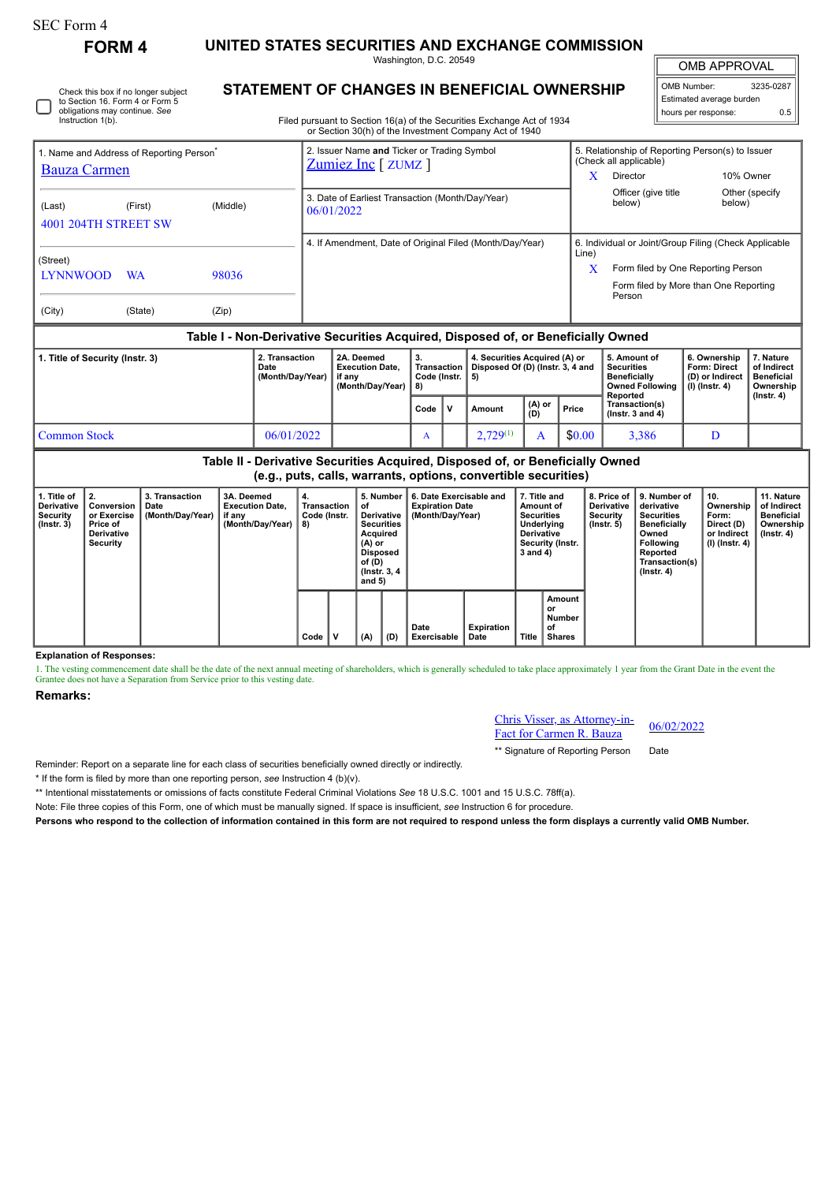| SEC Form 4 |
|------------|
|------------|

**FORM 4 UNITED STATES SECURITIES AND EXCHANGE COMMISSION**

Washington, D.C. 20549

OMB APPROVAL

| OMB Number:<br>3235-0287 |                     |     |  |  |  |  |  |  |  |
|--------------------------|---------------------|-----|--|--|--|--|--|--|--|
| Estimated average burden |                     |     |  |  |  |  |  |  |  |
|                          | hours per response: | 0.5 |  |  |  |  |  |  |  |

Check this box if no longer subject to Section 16. Form 4 or Form 5 obligations may continue. *See* Instruction 1(b).

## **STATEMENT OF CHANGES IN BENEFICIAL OWNERSHIP**

Filed pursuant to Section 16(a) of the Securities Exchange Act of 1934 or Section 30(h) of the Investment Company Act of 1940

| 1. Name and Address of Reporting Person <sup>®</sup>                             |                      |         |          |                                                                | 2. Issuer Name and Ticker or Trading Symbol<br>Zumiez Inc [ ZUMZ ] |                                                                                                                                                 |                                                |   |                                                                         |               |                               | 5. Relationship of Reporting Person(s) to Issuer<br>(Check all applicable)                     |                                                                            |                                                            |  |  |
|----------------------------------------------------------------------------------|----------------------|---------|----------|----------------------------------------------------------------|--------------------------------------------------------------------|-------------------------------------------------------------------------------------------------------------------------------------------------|------------------------------------------------|---|-------------------------------------------------------------------------|---------------|-------------------------------|------------------------------------------------------------------------------------------------|----------------------------------------------------------------------------|------------------------------------------------------------|--|--|
| <b>Bauza Carmen</b>                                                              |                      |         |          |                                                                |                                                                    |                                                                                                                                                 |                                                |   |                                                                         | X.            | Director                      | 10% Owner                                                                                      |                                                                            |                                                            |  |  |
| (Last)                                                                           | 4001 204TH STREET SW | (First) | (Middle) | 3. Date of Earliest Transaction (Month/Day/Year)<br>06/01/2022 |                                                                    |                                                                                                                                                 |                                                |   |                                                                         |               | Officer (give title<br>below) | below)                                                                                         | Other (specify                                                             |                                                            |  |  |
|                                                                                  |                      |         |          |                                                                | 4. If Amendment, Date of Original Filed (Month/Day/Year)           |                                                                                                                                                 |                                                |   |                                                                         |               |                               | 6. Individual or Joint/Group Filing (Check Applicable                                          |                                                                            |                                                            |  |  |
| (Street)<br><b>LYNNWOOD</b><br>98036<br><b>WA</b>                                |                      |         |          |                                                                |                                                                    |                                                                                                                                                 |                                                |   |                                                                         |               | Line)<br>X                    | Form filed by One Reporting Person<br>Form filed by More than One Reporting<br>Person          |                                                                            |                                                            |  |  |
| (City)                                                                           |                      | (State) | (Zip)    |                                                                |                                                                    |                                                                                                                                                 |                                                |   |                                                                         |               |                               |                                                                                                |                                                                            |                                                            |  |  |
| Table I - Non-Derivative Securities Acquired, Disposed of, or Beneficially Owned |                      |         |          |                                                                |                                                                    |                                                                                                                                                 |                                                |   |                                                                         |               |                               |                                                                                                |                                                                            |                                                            |  |  |
| 2. Transaction<br>1. Title of Security (Instr. 3)<br>Date<br>(Month/Day/Year)    |                      |         |          |                                                                |                                                                    | 2A. Deemed<br><b>Execution Date.</b><br>if any<br>(Month/Day/Year)                                                                              | 3.<br><b>Transaction</b><br>Code (Instr.<br>8) |   | 4. Securities Acquired (A) or<br>Disposed Of (D) (Instr. 3, 4 and<br>5) |               |                               | 5. Amount of<br><b>Securities</b><br><b>Beneficially</b><br><b>Owned Following</b><br>Reported | 6. Ownership<br><b>Form: Direct</b><br>(D) or Indirect<br>$(I)$ (Instr. 4) | 7. Nature<br>of Indirect<br><b>Beneficial</b><br>Ownership |  |  |
|                                                                                  |                      |         |          |                                                                |                                                                    |                                                                                                                                                 | Code                                           | v | Amount                                                                  | (A) or<br>(D) | Price                         | Transaction(s)<br>( $lnstr. 3 and 4$ )                                                         |                                                                            | $($ lnstr. 4 $)$                                           |  |  |
|                                                                                  |                      |         |          |                                                                |                                                                    |                                                                                                                                                 |                                                |   |                                                                         |               |                               |                                                                                                |                                                                            |                                                            |  |  |
| <b>Common Stock</b>                                                              |                      |         |          | 06/01/2022                                                     |                                                                    |                                                                                                                                                 | A                                              |   | $2,729^{(1)}$                                                           | A             | \$0.00                        | 3,386                                                                                          | D                                                                          |                                                            |  |  |
|                                                                                  |                      |         |          |                                                                |                                                                    | Table II - Derivative Securities Acquired, Disposed of, or Beneficially Owned<br>(e.g., puts, calls, warrants, options, convertible securities) |                                                |   |                                                                         |               |                               |                                                                                                |                                                                            |                                                            |  |  |

| 1. Title of<br><b>Derivative</b><br>Security<br>$($ lnstr. 3 $)$ | $\vert$ 2.<br>Conversion<br>or Exercise<br><b>Price of</b><br><b>Derivative</b><br>Security | 3. Transaction<br>Date<br>(Month/Day/Year) | 3A. Deemed<br><b>Execution Date.</b><br>if any<br>(Month/Day/Year) | 4.<br>Transaction<br>Code (Instr.<br>8) |   | 5. Number<br>οf<br>Derivative<br><b>Securities</b><br>Acquired<br>(A) or<br><b>Disposed</b><br>of (D)<br>(Instr. 3, 4)<br>and $5)$ |     | 6. Date Exercisable and<br><b>Expiration Date</b><br>(Month/Day/Year) | 7. Title and<br>Amount of<br><b>Securities</b><br>Underlying<br><b>Derivative</b><br>Security (Instr.<br>3 and 4) |       | 8. Price of<br>Derivative<br><b>Security</b><br>$($ lnstr. 5 $)$ | l 9. Number of<br>derivative<br><b>Securities</b><br><b>Beneficially</b><br>Owned<br>Following<br>Reported<br>Transaction(s)<br>$($ Instr. 4 $)$ | 10.<br>Ownership<br>Form:<br>Direct (D)<br>or Indirect<br>  (I) (Instr. 4) | 11. Nature<br>of Indirect<br><b>Beneficial</b><br>Ownership<br>(Instr. 4) |  |
|------------------------------------------------------------------|---------------------------------------------------------------------------------------------|--------------------------------------------|--------------------------------------------------------------------|-----------------------------------------|---|------------------------------------------------------------------------------------------------------------------------------------|-----|-----------------------------------------------------------------------|-------------------------------------------------------------------------------------------------------------------|-------|------------------------------------------------------------------|--------------------------------------------------------------------------------------------------------------------------------------------------|----------------------------------------------------------------------------|---------------------------------------------------------------------------|--|
|                                                                  |                                                                                             |                                            |                                                                    | Code                                    | v | (A)                                                                                                                                | (D) | Date<br>Exercisable                                                   | Expiration<br>Date                                                                                                | Title | Amount<br>or<br>Number<br>οf<br><b>Shares</b>                    |                                                                                                                                                  |                                                                            |                                                                           |  |

**Explanation of Responses:**

1. The vesting commencement date shall be the date of the next annual meeting of shareholders, which is generally scheduled to take place approximately 1 year from the Grant Date in the event the Grantee does not have a Separation from Service prior to this vesting date.

## **Remarks:**

Chris Visser, as Attorney-in-**EXECUTE: EXECUTE: EXECUTE: OF** 06/02/2022

\*\* Signature of Reporting Person Date

Reminder: Report on a separate line for each class of securities beneficially owned directly or indirectly.

\* If the form is filed by more than one reporting person, *see* Instruction 4 (b)(v).

\*\* Intentional misstatements or omissions of facts constitute Federal Criminal Violations *See* 18 U.S.C. 1001 and 15 U.S.C. 78ff(a).

Note: File three copies of this Form, one of which must be manually signed. If space is insufficient, *see* Instruction 6 for procedure.

**Persons who respond to the collection of information contained in this form are not required to respond unless the form displays a currently valid OMB Number.**